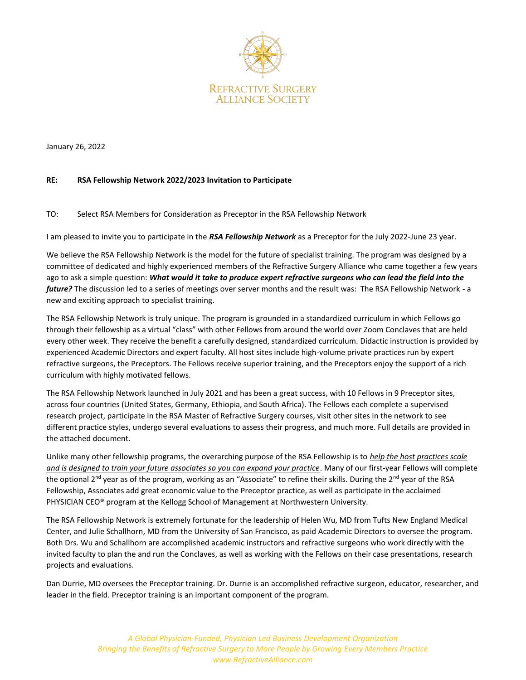

January 26, 2022

# **RE: RSA Fellowship Network 2022/2023 Invitation to Participate**

## TO: Select RSA Members for Consideration as Preceptor in the RSA Fellowship Network

I am pleased to invite you to participate in the *RSA Fellowship Network* as a Preceptor for the July 2022-June 23 year.

We believe the RSA Fellowship Network is the model for the future of specialist training. The program was designed by a committee of dedicated and highly experienced members of the Refractive Surgery Alliance who came together a few years ago to ask a simple question: *What would it take to produce expert refractive surgeons who can lead the field into the future?* The discussion led to a series of meetings over server months and the result was: The RSA Fellowship Network - a new and exciting approach to specialist training.

The RSA Fellowship Network is truly unique. The program is grounded in a standardized curriculum in which Fellows go through their fellowship as a virtual "class" with other Fellows from around the world over Zoom Conclaves that are held every other week. They receive the benefit a carefully designed, standardized curriculum. Didactic instruction is provided by experienced Academic Directors and expert faculty. All host sites include high-volume private practices run by expert refractive surgeons, the Preceptors. The Fellows receive superior training, and the Preceptors enjoy the support of a rich curriculum with highly motivated fellows.

The RSA Fellowship Network launched in July 2021 and has been a great success, with 10 Fellows in 9 Preceptor sites, across four countries (United States, Germany, Ethiopia, and South Africa). The Fellows each complete a supervised research project, participate in the RSA Master of Refractive Surgery courses, visit other sites in the network to see different practice styles, undergo several evaluations to assess their progress, and much more. Full details are provided in the attached document.

Unlike many other fellowship programs, the overarching purpose of the RSA Fellowship is to *help the host practices scale and is designed to train your future associates so you can expand your practice*. Many of our first-year Fellows will complete the optional 2<sup>nd</sup> year as of the program, working as an "Associate" to refine their skills. During the 2<sup>nd</sup> year of the RSA Fellowship, Associates add great economic value to the Preceptor practice, as well as participate in the acclaimed PHYSICIAN CEO® program at the Kellogg School of Management at Northwestern University.

The RSA Fellowship Network is extremely fortunate for the leadership of Helen Wu, MD from Tufts New England Medical Center, and Julie Schallhorn, MD from the University of San Francisco, as paid Academic Directors to oversee the program. Both Drs. Wu and Schallhorn are accomplished academic instructors and refractive surgeons who work directly with the invited faculty to plan the and run the Conclaves, as well as working with the Fellows on their case presentations, research projects and evaluations.

Dan Durrie, MD oversees the Preceptor training. Dr. Durrie is an accomplished refractive surgeon, educator, researcher, and leader in the field. Preceptor training is an important component of the program.